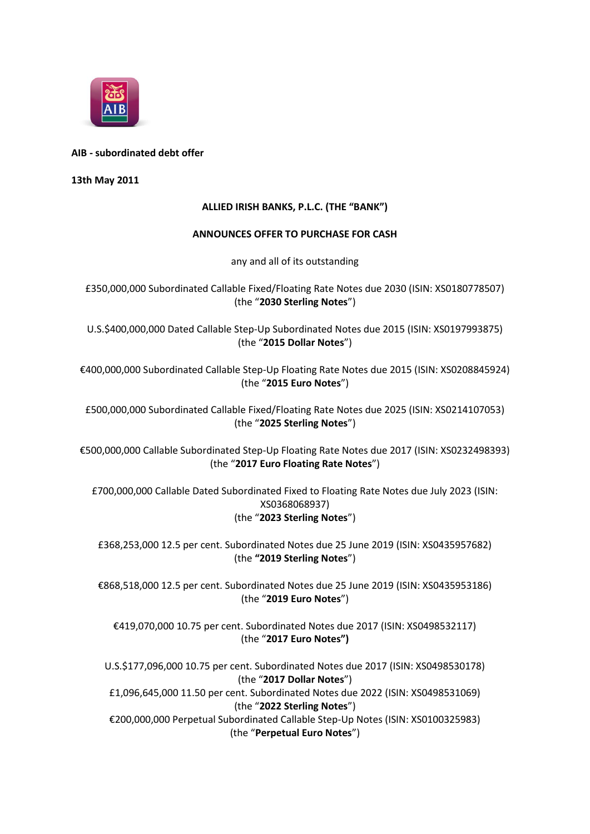

## **AIB - subordinated debt offer**

**13th May 2011**

### **ALLIED IRISH BANKS, P.L.C. (THE "BANK")**

### **ANNOUNCES OFFER TO PURCHASE FOR CASH**

any and all of its outstanding

£350,000,000 Subordinated Callable Fixed/Floating Rate Notes due 2030 (ISIN: XS0180778507) (the "**2030 Sterling Notes**")

U.S.\$400,000,000 Dated Callable Step-Up Subordinated Notes due 2015 (ISIN: XS0197993875) (the "**2015 Dollar Notes**")

€400,000,000 Subordinated Callable Step-Up Floating Rate Notes due 2015 (ISIN: XS0208845924) (the "**2015 Euro Notes**")

£500,000,000 Subordinated Callable Fixed/Floating Rate Notes due 2025 (ISIN: XS0214107053) (the "**2025 Sterling Notes**")

€500,000,000 Callable Subordinated Step-Up Floating Rate Notes due 2017 (ISIN: XS0232498393) (the "**2017 Euro Floating Rate Notes**")

£700,000,000 Callable Dated Subordinated Fixed to Floating Rate Notes due July 2023 (ISIN: XS0368068937) (the "**2023 Sterling Notes**")

£368,253,000 12.5 per cent. Subordinated Notes due 25 June 2019 (ISIN: XS0435957682) (the **"2019 Sterling Notes**")

€868,518,000 12.5 per cent. Subordinated Notes due 25 June 2019 (ISIN: XS0435953186) (the "**2019 Euro Notes**")

€419,070,000 10.75 per cent. Subordinated Notes due 2017 (ISIN: XS0498532117) (the "**2017 Euro Notes")**

U.S.\$177,096,000 10.75 per cent. Subordinated Notes due 2017 (ISIN: XS0498530178) (the "**2017 Dollar Notes**") £1,096,645,000 11.50 per cent. Subordinated Notes due 2022 (ISIN: XS0498531069) (the "**2022 Sterling Notes**") €200,000,000 Perpetual Subordinated Callable Step-Up Notes (ISIN: XS0100325983) (the "**Perpetual Euro Notes**")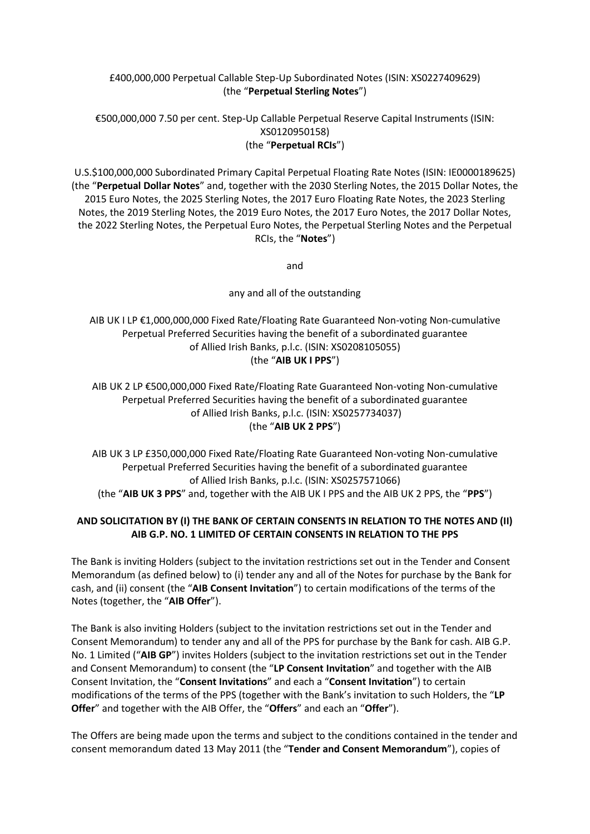### £400,000,000 Perpetual Callable Step-Up Subordinated Notes (ISIN: XS0227409629) (the "**Perpetual Sterling Notes**")

# €500,000,000 7.50 per cent. Step-Up Callable Perpetual Reserve Capital Instruments (ISIN: XS0120950158) (the "**Perpetual RCIs**")

U.S.\$100,000,000 Subordinated Primary Capital Perpetual Floating Rate Notes (ISIN: IE0000189625) (the "**Perpetual Dollar Notes**" and, together with the 2030 Sterling Notes, the 2015 Dollar Notes, the 2015 Euro Notes, the 2025 Sterling Notes, the 2017 Euro Floating Rate Notes, the 2023 Sterling Notes, the 2019 Sterling Notes, the 2019 Euro Notes, the 2017 Euro Notes, the 2017 Dollar Notes, the 2022 Sterling Notes, the Perpetual Euro Notes, the Perpetual Sterling Notes and the Perpetual RCIs, the "**Notes**")

and

any and all of the outstanding

## AIB UK I LP €1,000,000,000 Fixed Rate/Floating Rate Guaranteed Non-voting Non-cumulative Perpetual Preferred Securities having the benefit of a subordinated guarantee of Allied Irish Banks, p.l.c. (ISIN: XS0208105055) (the "**AIB UK I PPS**")

# AIB UK 2 LP €500,000,000 Fixed Rate/Floating Rate Guaranteed Non-voting Non-cumulative Perpetual Preferred Securities having the benefit of a subordinated guarantee of Allied Irish Banks, p.l.c. (ISIN: XS0257734037) (the "**AIB UK 2 PPS**")

AIB UK 3 LP £350,000,000 Fixed Rate/Floating Rate Guaranteed Non-voting Non-cumulative Perpetual Preferred Securities having the benefit of a subordinated guarantee of Allied Irish Banks, p.l.c. (ISIN: XS0257571066) (the "**AIB UK 3 PPS**" and, together with the AIB UK I PPS and the AIB UK 2 PPS, the "**PPS**")

# **AND SOLICITATION BY (I) THE BANK OF CERTAIN CONSENTS IN RELATION TO THE NOTES AND (II) AIB G.P. NO. 1 LIMITED OF CERTAIN CONSENTS IN RELATION TO THE PPS**

The Bank is inviting Holders (subject to the invitation restrictions set out in the Tender and Consent Memorandum (as defined below) to (i) tender any and all of the Notes for purchase by the Bank for cash, and (ii) consent (the "**AIB Consent Invitation**") to certain modifications of the terms of the Notes (together, the "**AIB Offer**").

The Bank is also inviting Holders (subject to the invitation restrictions set out in the Tender and Consent Memorandum) to tender any and all of the PPS for purchase by the Bank for cash. AIB G.P. No. 1 Limited ("**AIB GP**") invites Holders (subject to the invitation restrictions set out in the Tender and Consent Memorandum) to consent (the "**LP Consent Invitation**" and together with the AIB Consent Invitation, the "**Consent Invitations**" and each a "**Consent Invitation**") to certain modifications of the terms of the PPS (together with the Bank's invitation to such Holders, the "**LP Offer**" and together with the AIB Offer, the "**Offers**" and each an "**Offer**").

The Offers are being made upon the terms and subject to the conditions contained in the tender and consent memorandum dated 13 May 2011 (the "**Tender and Consent Memorandum**"), copies of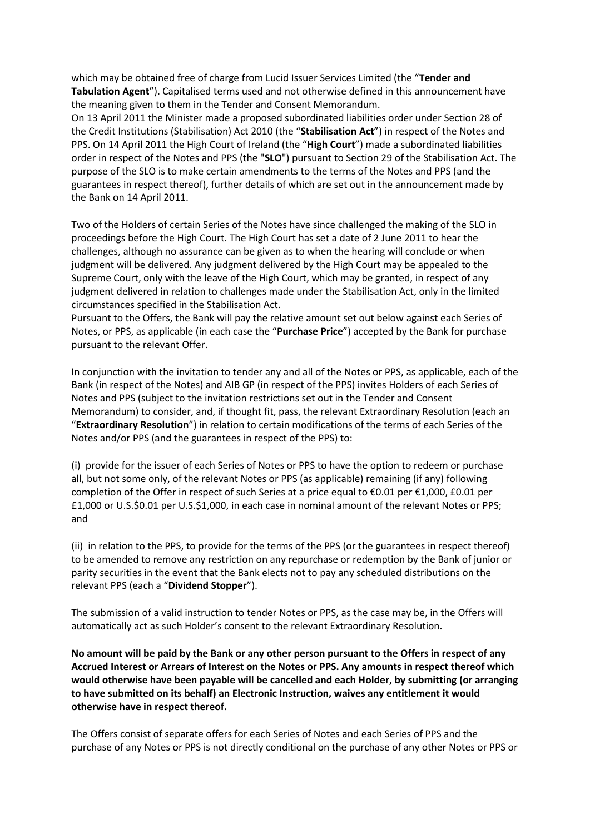which may be obtained free of charge from Lucid Issuer Services Limited (the "**Tender and Tabulation Agent**"). Capitalised terms used and not otherwise defined in this announcement have the meaning given to them in the Tender and Consent Memorandum.

On 13 April 2011 the Minister made a proposed subordinated liabilities order under Section 28 of the Credit Institutions (Stabilisation) Act 2010 (the "**Stabilisation Act**") in respect of the Notes and PPS. On 14 April 2011 the High Court of Ireland (the "**High Court**") made a subordinated liabilities order in respect of the Notes and PPS (the "**SLO**") pursuant to Section 29 of the Stabilisation Act. The purpose of the SLO is to make certain amendments to the terms of the Notes and PPS (and the guarantees in respect thereof), further details of which are set out in the announcement made by the Bank on 14 April 2011.

Two of the Holders of certain Series of the Notes have since challenged the making of the SLO in proceedings before the High Court. The High Court has set a date of 2 June 2011 to hear the challenges, although no assurance can be given as to when the hearing will conclude or when judgment will be delivered. Any judgment delivered by the High Court may be appealed to the Supreme Court, only with the leave of the High Court, which may be granted, in respect of any judgment delivered in relation to challenges made under the Stabilisation Act, only in the limited circumstances specified in the Stabilisation Act.

Pursuant to the Offers, the Bank will pay the relative amount set out below against each Series of Notes, or PPS, as applicable (in each case the "**Purchase Price**") accepted by the Bank for purchase pursuant to the relevant Offer.

In conjunction with the invitation to tender any and all of the Notes or PPS, as applicable, each of the Bank (in respect of the Notes) and AIB GP (in respect of the PPS) invites Holders of each Series of Notes and PPS (subject to the invitation restrictions set out in the Tender and Consent Memorandum) to consider, and, if thought fit, pass, the relevant Extraordinary Resolution (each an "**Extraordinary Resolution**") in relation to certain modifications of the terms of each Series of the Notes and/or PPS (and the guarantees in respect of the PPS) to:

(i) provide for the issuer of each Series of Notes or PPS to have the option to redeem or purchase all, but not some only, of the relevant Notes or PPS (as applicable) remaining (if any) following completion of the Offer in respect of such Series at a price equal to €0.01 per €1,000, £0.01 per £1,000 or U.S.\$0.01 per U.S.\$1,000, in each case in nominal amount of the relevant Notes or PPS; and

(ii) in relation to the PPS, to provide for the terms of the PPS (or the guarantees in respect thereof) to be amended to remove any restriction on any repurchase or redemption by the Bank of junior or parity securities in the event that the Bank elects not to pay any scheduled distributions on the relevant PPS (each a "**Dividend Stopper**").

The submission of a valid instruction to tender Notes or PPS, as the case may be, in the Offers will automatically act as such Holder's consent to the relevant Extraordinary Resolution.

**No amount will be paid by the Bank or any other person pursuant to the Offers in respect of any Accrued Interest or Arrears of Interest on the Notes or PPS. Any amounts in respect thereof which would otherwise have been payable will be cancelled and each Holder, by submitting (or arranging to have submitted on its behalf) an Electronic Instruction, waives any entitlement it would otherwise have in respect thereof.**

The Offers consist of separate offers for each Series of Notes and each Series of PPS and the purchase of any Notes or PPS is not directly conditional on the purchase of any other Notes or PPS or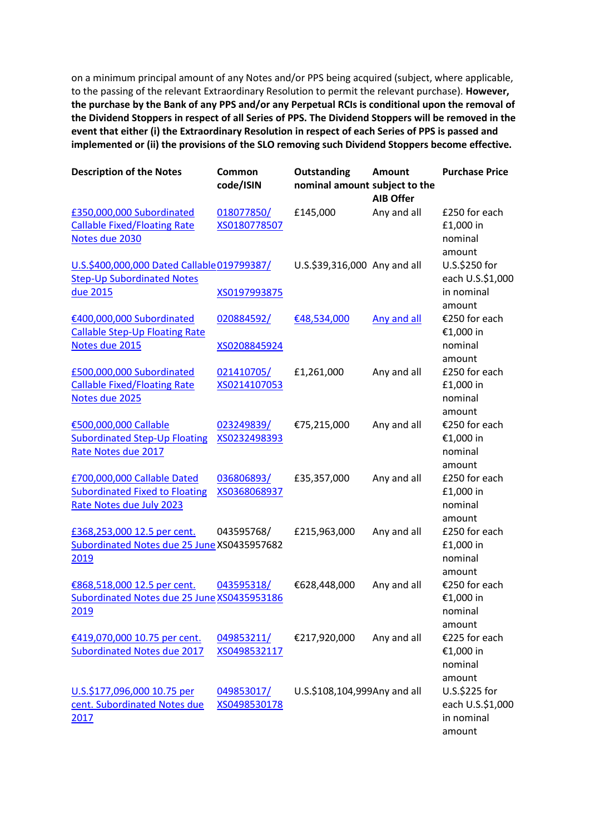on a minimum principal amount of any Notes and/or PPS being acquired (subject, where applicable, to the passing of the relevant Extraordinary Resolution to permit the relevant purchase). **However, the purchase by the Bank of any PPS and/or any Perpetual RCIs is conditional upon the removal of the Dividend Stoppers in respect of all Series of PPS. The Dividend Stoppers will be removed in the event that either (i) the Extraordinary Resolution in respect of each Series of PPS is passed and implemented or (ii) the provisions of the SLO removing such Dividend Stoppers become effective.**

| <b>Description of the Notes</b>                                                                  | Common<br>code/ISIN        | Outstanding<br>nominal amount subject to the | <b>Amount</b><br><b>AIB Offer</b> | <b>Purchase Price</b>                                     |
|--------------------------------------------------------------------------------------------------|----------------------------|----------------------------------------------|-----------------------------------|-----------------------------------------------------------|
| £350,000,000 Subordinated<br><b>Callable Fixed/Floating Rate</b><br>Notes due 2030               | 018077850/<br>XS0180778507 | £145,000                                     | Any and all                       | £250 for each<br>£1,000 in<br>nominal<br>amount           |
| U.S.\$400,000,000 Dated Callable 019799387/<br><b>Step-Up Subordinated Notes</b><br>due 2015     | XS0197993875               | U.S.\$39,316,000 Any and all                 |                                   | U.S.\$250 for<br>each U.S.\$1,000<br>in nominal<br>amount |
| €400,000,000 Subordinated<br><b>Callable Step-Up Floating Rate</b><br>Notes due 2015             | 020884592/<br>XS0208845924 | €48,534,000                                  | Any and all                       | €250 for each<br>€1,000 in<br>nominal<br>amount           |
| £500,000,000 Subordinated<br><b>Callable Fixed/Floating Rate</b><br>Notes due 2025               | 021410705/<br>XS0214107053 | £1,261,000                                   | Any and all                       | £250 for each<br>£1,000 in<br>nominal<br>amount           |
| €500,000,000 Callable<br><b>Subordinated Step-Up Floating</b><br>Rate Notes due 2017             | 023249839/<br>XS0232498393 | €75,215,000                                  | Any and all                       | €250 for each<br>€1,000 in<br>nominal<br>amount           |
| £700,000,000 Callable Dated<br><b>Subordinated Fixed to Floating</b><br>Rate Notes due July 2023 | 036806893/<br>XS0368068937 | £35,357,000                                  | Any and all                       | £250 for each<br>£1,000 in<br>nominal<br>amount           |
| £368,253,000 12.5 per cent.<br>Subordinated Notes due 25 June XS0435957682<br>2019               | 043595768/                 | £215,963,000                                 | Any and all                       | £250 for each<br>£1,000 in<br>nominal<br>amount           |
| €868,518,000 12.5 per cent.<br>Subordinated Notes due 25 June XS0435953186<br>2019               | 043595318/                 | €628,448,000                                 | Any and all                       | €250 for each<br>€1,000 in<br>nominal<br>amount           |
| €419,070,000 10.75 per cent.<br><b>Subordinated Notes due 2017</b>                               | 049853211/<br>XS0498532117 | €217,920,000                                 | Any and all                       | €225 for each<br>€1,000 in<br>nominal<br>amount           |
| U.S.\$177,096,000 10.75 per<br>cent. Subordinated Notes due<br>2017                              | 049853017/<br>XS0498530178 | U.S.\$108,104,999Any and all                 |                                   | U.S.\$225 for<br>each U.S.\$1,000<br>in nominal<br>amount |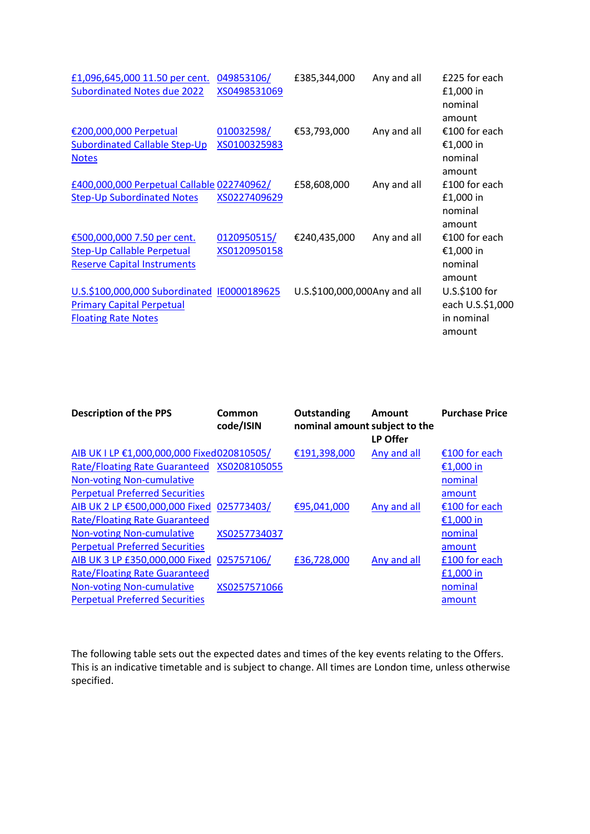| £1,096,645,000 11.50 per cent.<br><b>Subordinated Notes due 2022</b>                                          | 049853106/<br>XS0498531069  | £385,344,000                 | Any and all | £225 for each<br>£1,000 in<br>nominal<br>amount           |
|---------------------------------------------------------------------------------------------------------------|-----------------------------|------------------------------|-------------|-----------------------------------------------------------|
| €200,000,000 Perpetual<br><b>Subordinated Callable Step-Up</b><br><b>Notes</b>                                | 010032598/<br>XS0100325983  | €53,793,000                  | Any and all | €100 for each<br>€1,000 in<br>nominal<br>amount           |
| £400,000,000 Perpetual Callable 022740962/<br><b>Step-Up Subordinated Notes</b>                               | XS0227409629                | £58,608,000                  | Any and all | £100 for each<br>£1,000 in<br>nominal<br>amount           |
| €500,000,000 7.50 per cent.<br><b>Step-Up Callable Perpetual</b><br><b>Reserve Capital Instruments</b>        | 0120950515/<br>XS0120950158 | €240,435,000                 | Any and all | €100 for each<br>€1,000 in<br>nominal<br>amount           |
| U.S.\$100,000,000 Subordinated IE0000189625<br><b>Primary Capital Perpetual</b><br><b>Floating Rate Notes</b> |                             | U.S.\$100,000,000Any and all |             | U.S.\$100 for<br>each U.S.\$1,000<br>in nominal<br>amount |

| <b>Description of the PPS</b><br>Outstanding<br>Amount<br>Common<br>code/ISIN<br>nominal amount subject to the<br>LP Offer | <b>Purchase Price</b> |
|----------------------------------------------------------------------------------------------------------------------------|-----------------------|
| AIB UK I LP €1,000,000,000 Fixed020810505/<br>€191,398,000<br>Any and all                                                  | €100 for each         |
| Rate/Floating Rate Guaranteed XS0208105055                                                                                 | €1,000 in             |
| <b>Non-voting Non-cumulative</b>                                                                                           | nominal               |
| <b>Perpetual Preferred Securities</b>                                                                                      | amount                |
| AIB UK 2 LP €500,000,000 Fixed 025773403/<br>€95,041,000<br>Any and all                                                    | €100 for each         |
| <b>Rate/Floating Rate Guaranteed</b>                                                                                       | €1,000 in             |
| <b>Non-voting Non-cumulative</b><br>XS0257734037                                                                           | nominal               |
| <b>Perpetual Preferred Securities</b>                                                                                      | amount                |
| AIB UK 3 LP £350,000,000 Fixed<br>025757106/<br>£36,728,000<br>Any and all                                                 | £100 for each         |
| <b>Rate/Floating Rate Guaranteed</b>                                                                                       | £1,000 in             |
| <b>Non-voting Non-cumulative</b><br>XS0257571066                                                                           | nominal               |
| <b>Perpetual Preferred Securities</b>                                                                                      | amount                |

The following table sets out the expected dates and times of the key events relating to the Offers. This is an indicative timetable and is subject to change. All times are London time, unless otherwise specified.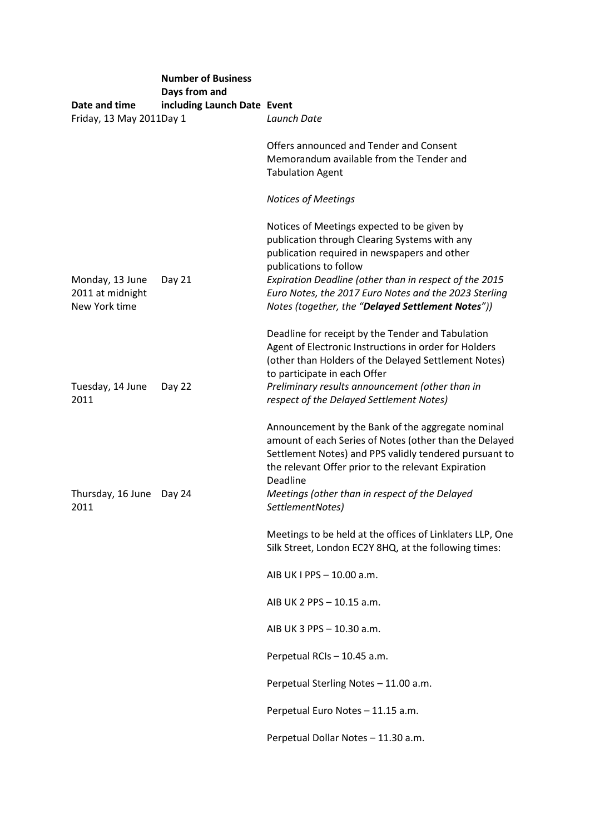| <b>Number of Business</b> |                                                                                                                           |
|---------------------------|---------------------------------------------------------------------------------------------------------------------------|
|                           |                                                                                                                           |
|                           |                                                                                                                           |
|                           | Launch Date                                                                                                               |
|                           | Offers announced and Tender and Consent                                                                                   |
|                           | Memorandum available from the Tender and                                                                                  |
|                           | <b>Tabulation Agent</b>                                                                                                   |
|                           |                                                                                                                           |
|                           | <b>Notices of Meetings</b>                                                                                                |
|                           | Notices of Meetings expected to be given by                                                                               |
|                           | publication through Clearing Systems with any                                                                             |
|                           | publication required in newspapers and other                                                                              |
|                           | publications to follow                                                                                                    |
| Day 21                    | Expiration Deadline (other than in respect of the 2015                                                                    |
|                           | Euro Notes, the 2017 Euro Notes and the 2023 Sterling                                                                     |
|                           | Notes (together, the "Delayed Settlement Notes"))                                                                         |
|                           | Deadline for receipt by the Tender and Tabulation                                                                         |
|                           | Agent of Electronic Instructions in order for Holders                                                                     |
|                           | (other than Holders of the Delayed Settlement Notes)                                                                      |
|                           | to participate in each Offer                                                                                              |
|                           | Preliminary results announcement (other than in                                                                           |
|                           | respect of the Delayed Settlement Notes)                                                                                  |
|                           | Announcement by the Bank of the aggregate nominal<br>amount of each Series of Notes (other than the Delayed               |
|                           | Settlement Notes) and PPS validly tendered pursuant to<br>the relevant Offer prior to the relevant Expiration<br>Deadline |
|                           | Meetings (other than in respect of the Delayed                                                                            |
|                           | SettlementNotes)                                                                                                          |
|                           |                                                                                                                           |
|                           | Meetings to be held at the offices of Linklaters LLP, One<br>Silk Street, London EC2Y 8HQ, at the following times:        |
|                           |                                                                                                                           |
|                           | AIB UK I PPS - 10.00 a.m.                                                                                                 |
|                           | AIB UK 2 PPS - 10.15 a.m.                                                                                                 |
|                           | AIB UK 3 PPS - 10.30 a.m.                                                                                                 |
|                           | Perpetual RCIs - 10.45 a.m.                                                                                               |
|                           | Perpetual Sterling Notes - 11.00 a.m.                                                                                     |
|                           | Perpetual Euro Notes - 11.15 a.m.                                                                                         |
|                           | Perpetual Dollar Notes - 11.30 a.m.                                                                                       |
|                           | Days from and<br>including Launch Date Event<br>Friday, 13 May 2011Day 1<br>Day 22<br>Day 24                              |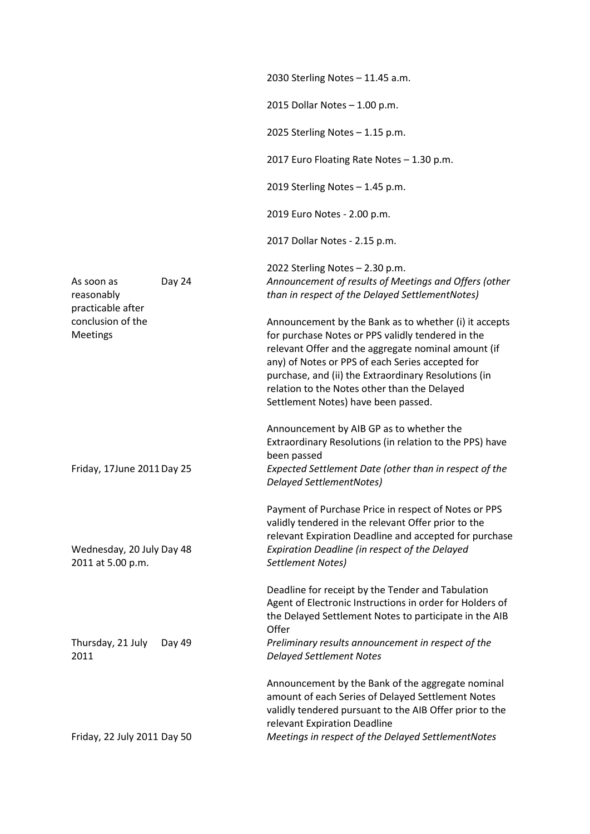|                                                                                       |        | 2030 Sterling Notes - 11.45 a.m.                                                                                                                                                                                                                                                                                                                                     |
|---------------------------------------------------------------------------------------|--------|----------------------------------------------------------------------------------------------------------------------------------------------------------------------------------------------------------------------------------------------------------------------------------------------------------------------------------------------------------------------|
|                                                                                       |        | 2015 Dollar Notes - 1.00 p.m.                                                                                                                                                                                                                                                                                                                                        |
|                                                                                       |        | 2025 Sterling Notes - 1.15 p.m.                                                                                                                                                                                                                                                                                                                                      |
|                                                                                       |        | 2017 Euro Floating Rate Notes - 1.30 p.m.                                                                                                                                                                                                                                                                                                                            |
|                                                                                       |        | 2019 Sterling Notes - 1.45 p.m.                                                                                                                                                                                                                                                                                                                                      |
|                                                                                       |        | 2019 Euro Notes - 2.00 p.m.                                                                                                                                                                                                                                                                                                                                          |
|                                                                                       | Day 24 | 2017 Dollar Notes - 2.15 p.m.                                                                                                                                                                                                                                                                                                                                        |
| As soon as<br>reasonably<br>practicable after<br>conclusion of the<br><b>Meetings</b> |        | 2022 Sterling Notes - 2.30 p.m.<br>Announcement of results of Meetings and Offers (other<br>than in respect of the Delayed SettlementNotes)                                                                                                                                                                                                                          |
|                                                                                       |        | Announcement by the Bank as to whether (i) it accepts<br>for purchase Notes or PPS validly tendered in the<br>relevant Offer and the aggregate nominal amount (if<br>any) of Notes or PPS of each Series accepted for<br>purchase, and (ii) the Extraordinary Resolutions (in<br>relation to the Notes other than the Delayed<br>Settlement Notes) have been passed. |
| Friday, 17June 2011 Day 25                                                            |        | Announcement by AIB GP as to whether the<br>Extraordinary Resolutions (in relation to the PPS) have<br>been passed<br>Expected Settlement Date (other than in respect of the<br>Delayed SettlementNotes)                                                                                                                                                             |
| Wednesday, 20 July Day 48<br>2011 at 5.00 p.m.                                        |        | Payment of Purchase Price in respect of Notes or PPS<br>validly tendered in the relevant Offer prior to the<br>relevant Expiration Deadline and accepted for purchase<br>Expiration Deadline (in respect of the Delayed<br>Settlement Notes)                                                                                                                         |
| Thursday, 21 July<br>2011                                                             | Day 49 | Deadline for receipt by the Tender and Tabulation<br>Agent of Electronic Instructions in order for Holders of<br>the Delayed Settlement Notes to participate in the AIB<br>Offer<br>Preliminary results announcement in respect of the<br><b>Delayed Settlement Notes</b>                                                                                            |
| Friday, 22 July 2011 Day 50                                                           |        | Announcement by the Bank of the aggregate nominal<br>amount of each Series of Delayed Settlement Notes<br>validly tendered pursuant to the AIB Offer prior to the<br>relevant Expiration Deadline<br>Meetings in respect of the Delayed SettlementNotes                                                                                                              |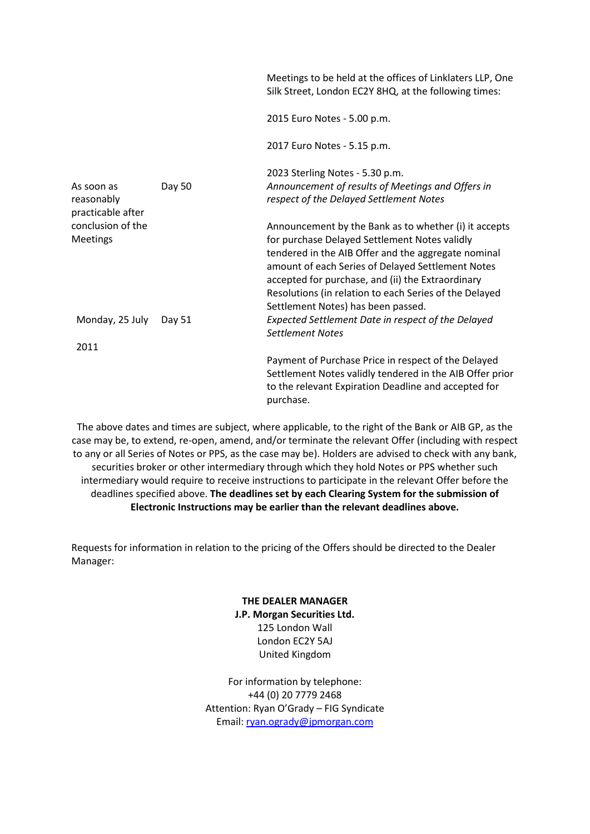|                                 |        | Meetings to be held at the offices of Linklaters LLP, One<br>Silk Street, London EC2Y 8HQ, at the following times: |
|---------------------------------|--------|--------------------------------------------------------------------------------------------------------------------|
|                                 |        | 2015 Euro Notes - 5.00 p.m.                                                                                        |
|                                 |        | 2017 Euro Notes - 5.15 p.m.                                                                                        |
|                                 |        | 2023 Sterling Notes - 5.30 p.m.                                                                                    |
| As soon as                      | Day 50 | Announcement of results of Meetings and Offers in                                                                  |
| reasonably<br>practicable after |        | respect of the Delayed Settlement Notes                                                                            |
| conclusion of the               |        | Announcement by the Bank as to whether (i) it accepts                                                              |
| <b>Meetings</b>                 |        | for purchase Delayed Settlement Notes validly                                                                      |
|                                 |        | tendered in the AIB Offer and the aggregate nominal                                                                |
|                                 |        | amount of each Series of Delayed Settlement Notes                                                                  |
|                                 |        | accepted for purchase, and (ii) the Extraordinary                                                                  |
|                                 |        | Resolutions (in relation to each Series of the Delayed                                                             |
|                                 |        | Settlement Notes) has been passed.                                                                                 |
| Monday, 25 July                 | Day 51 | Expected Settlement Date in respect of the Delayed                                                                 |
|                                 |        | <b>Settlement Notes</b>                                                                                            |
| 2011                            |        |                                                                                                                    |
|                                 |        | Payment of Purchase Price in respect of the Delayed                                                                |
|                                 |        | Settlement Notes validly tendered in the AIB Offer prior                                                           |
|                                 |        | to the relevant Expiration Deadline and accepted for<br>purchase.                                                  |

The above dates and times are subject, where applicable, to the right of the Bank or AIB GP, as the case may be, to extend, re-open, amend, and/or terminate the relevant Offer (including with respect to any or all Series of Notes or PPS, as the case may be). Holders are advised to check with any bank, securities broker or other intermediary through which they hold Notes or PPS whether such intermediary would require to receive instructions to participate in the relevant Offer before the deadlines specified above. **The deadlines set by each Clearing System for the submission of Electronic Instructions may be earlier than the relevant deadlines above.**

Requests for information in relation to the pricing of the Offers should be directed to the Dealer Manager:

## **THE DEALER MANAGER J.P. Morgan Securities Ltd.** 125 London Wall London EC2Y 5AJ United Kingdom

For information by telephone: +44 (0) 20 7779 2468 Attention: Ryan O'Grady – FIG Syndicate Email: [ryan.ogrady@jpmorgan.com](mailto:ryan.ogrady@jpmorgan.com)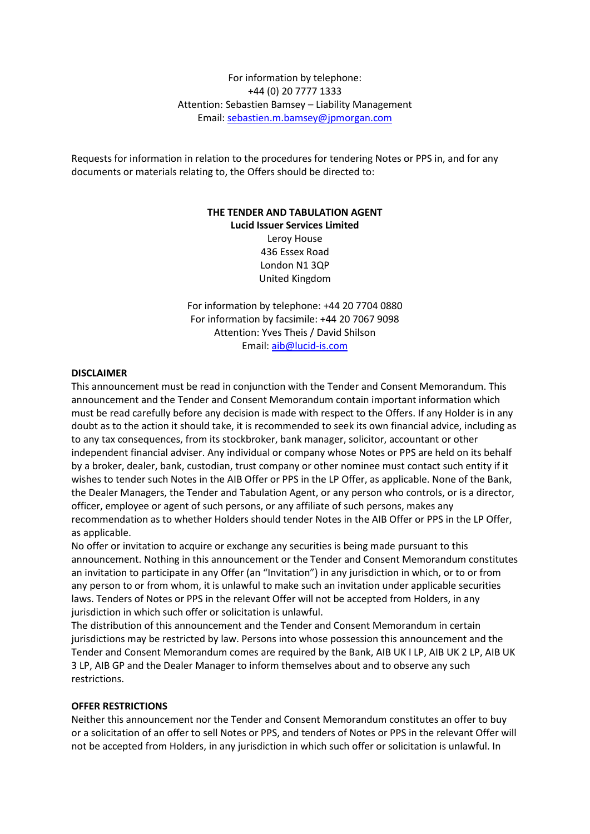## For information by telephone: +44 (0) 20 7777 1333 Attention: Sebastien Bamsey – Liability Management Email[: sebastien.m.bamsey@jpmorgan.com](mailto:sebastien.m.bamsey@jpmorgan.com)

Requests for information in relation to the procedures for tendering Notes or PPS in, and for any documents or materials relating to, the Offers should be directed to:

# **THE TENDER AND TABULATION AGENT Lucid Issuer Services Limited** Leroy House 436 Essex Road London N1 3QP United Kingdom

For information by telephone: +44 20 7704 0880 For information by facsimile: +44 20 7067 9098 Attention: Yves Theis / David Shilson Email: [aib@lucid-is.com](mailto:aib@lucid-is.com)

#### **DISCLAIMER**

This announcement must be read in conjunction with the Tender and Consent Memorandum. This announcement and the Tender and Consent Memorandum contain important information which must be read carefully before any decision is made with respect to the Offers. If any Holder is in any doubt as to the action it should take, it is recommended to seek its own financial advice, including as to any tax consequences, from its stockbroker, bank manager, solicitor, accountant or other independent financial adviser. Any individual or company whose Notes or PPS are held on its behalf by a broker, dealer, bank, custodian, trust company or other nominee must contact such entity if it wishes to tender such Notes in the AIB Offer or PPS in the LP Offer, as applicable. None of the Bank, the Dealer Managers, the Tender and Tabulation Agent, or any person who controls, or is a director, officer, employee or agent of such persons, or any affiliate of such persons, makes any recommendation as to whether Holders should tender Notes in the AIB Offer or PPS in the LP Offer, as applicable.

No offer or invitation to acquire or exchange any securities is being made pursuant to this announcement. Nothing in this announcement or the Tender and Consent Memorandum constitutes an invitation to participate in any Offer (an "Invitation") in any jurisdiction in which, or to or from any person to or from whom, it is unlawful to make such an invitation under applicable securities laws. Tenders of Notes or PPS in the relevant Offer will not be accepted from Holders, in any jurisdiction in which such offer or solicitation is unlawful.

The distribution of this announcement and the Tender and Consent Memorandum in certain jurisdictions may be restricted by law. Persons into whose possession this announcement and the Tender and Consent Memorandum comes are required by the Bank, AIB UK I LP, AIB UK 2 LP, AIB UK 3 LP, AIB GP and the Dealer Manager to inform themselves about and to observe any such restrictions.

#### **OFFER RESTRICTIONS**

Neither this announcement nor the Tender and Consent Memorandum constitutes an offer to buy or a solicitation of an offer to sell Notes or PPS, and tenders of Notes or PPS in the relevant Offer will not be accepted from Holders, in any jurisdiction in which such offer or solicitation is unlawful. In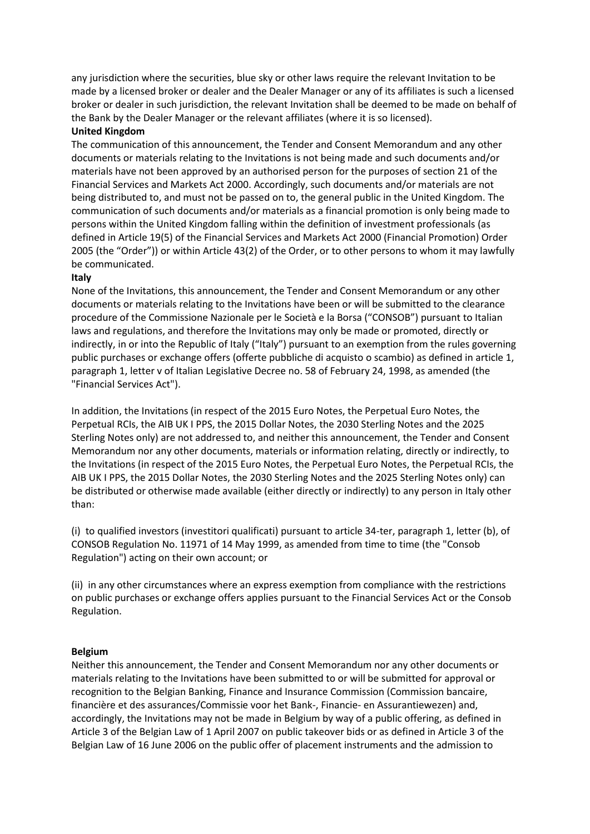any jurisdiction where the securities, blue sky or other laws require the relevant Invitation to be made by a licensed broker or dealer and the Dealer Manager or any of its affiliates is such a licensed broker or dealer in such jurisdiction, the relevant Invitation shall be deemed to be made on behalf of the Bank by the Dealer Manager or the relevant affiliates (where it is so licensed).

#### **United Kingdom**

The communication of this announcement, the Tender and Consent Memorandum and any other documents or materials relating to the Invitations is not being made and such documents and/or materials have not been approved by an authorised person for the purposes of section 21 of the Financial Services and Markets Act 2000. Accordingly, such documents and/or materials are not being distributed to, and must not be passed on to, the general public in the United Kingdom. The communication of such documents and/or materials as a financial promotion is only being made to persons within the United Kingdom falling within the definition of investment professionals (as defined in Article 19(5) of the Financial Services and Markets Act 2000 (Financial Promotion) Order 2005 (the "Order")) or within Article 43(2) of the Order, or to other persons to whom it may lawfully be communicated.

### **Italy**

None of the Invitations, this announcement, the Tender and Consent Memorandum or any other documents or materials relating to the Invitations have been or will be submitted to the clearance procedure of the Commissione Nazionale per le Società e la Borsa ("CONSOB") pursuant to Italian laws and regulations, and therefore the Invitations may only be made or promoted, directly or indirectly, in or into the Republic of Italy ("Italy") pursuant to an exemption from the rules governing public purchases or exchange offers (offerte pubbliche di acquisto o scambio) as defined in article 1, paragraph 1, letter v of Italian Legislative Decree no. 58 of February 24, 1998, as amended (the "Financial Services Act").

In addition, the Invitations (in respect of the 2015 Euro Notes, the Perpetual Euro Notes, the Perpetual RCIs, the AIB UK I PPS, the 2015 Dollar Notes, the 2030 Sterling Notes and the 2025 Sterling Notes only) are not addressed to, and neither this announcement, the Tender and Consent Memorandum nor any other documents, materials or information relating, directly or indirectly, to the Invitations (in respect of the 2015 Euro Notes, the Perpetual Euro Notes, the Perpetual RCIs, the AIB UK I PPS, the 2015 Dollar Notes, the 2030 Sterling Notes and the 2025 Sterling Notes only) can be distributed or otherwise made available (either directly or indirectly) to any person in Italy other than:

(i) to qualified investors (investitori qualificati) pursuant to article 34-ter, paragraph 1, letter (b), of CONSOB Regulation No. 11971 of 14 May 1999, as amended from time to time (the "Consob Regulation") acting on their own account; or

(ii) in any other circumstances where an express exemption from compliance with the restrictions on public purchases or exchange offers applies pursuant to the Financial Services Act or the Consob Regulation.

### **Belgium**

Neither this announcement, the Tender and Consent Memorandum nor any other documents or materials relating to the Invitations have been submitted to or will be submitted for approval or recognition to the Belgian Banking, Finance and Insurance Commission (Commission bancaire, financière et des assurances/Commissie voor het Bank-, Financie- en Assurantiewezen) and, accordingly, the Invitations may not be made in Belgium by way of a public offering, as defined in Article 3 of the Belgian Law of 1 April 2007 on public takeover bids or as defined in Article 3 of the Belgian Law of 16 June 2006 on the public offer of placement instruments and the admission to